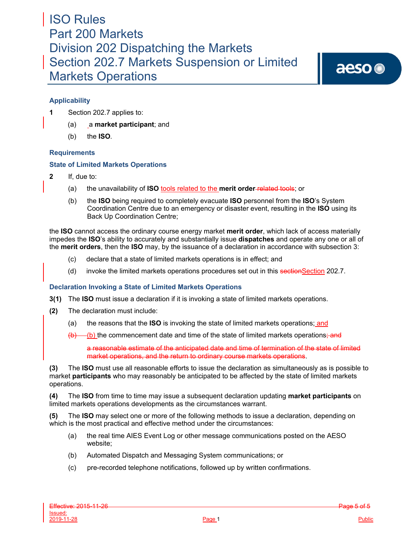aeso<sup>®</sup>

## **Applicability**

- **1** Section 202.7 applies to:
	- (a) a **market participant**; and
	- (b) the **ISO***.*

## **Requirements**

### **State of Limited Markets Operations**

- **2** If, due to:
	- (a) the unavailability of **ISO** tools related to the **merit order** related tools; or
	- (b) the **ISO** being required to completely evacuate **ISO** personnel from the **ISO**'s System Coordination Centre due to an emergency or disaster event, resulting in the **ISO** using its Back Up Coordination Centre;

the **ISO** cannot access the ordinary course energy market **merit order**, which lack of access materially impedes the **ISO**'s ability to accurately and substantially issue **dispatches** and operate any one or all of the **merit orders**, then the **ISO** may, by the issuance of a declaration in accordance with subsection 3:

- (c) declare that a state of limited markets operations is in effect; and
- (d) invoke the limited markets operations procedures set out in this sectionSection 202.7.

## **Declaration Invoking a State of Limited Markets Operations**

- **3(1)** The **ISO** must issue a declaration if it is invoking a state of limited markets operations.
- **(2)** The declaration must include:
	- (a) the reasons that the **ISO** is invoking the state of limited markets operations; and

(b) the commencement date and time of the state of limited markets operations; and

a reasonable estimate of the anticipated date and time of termination of the state of limited market operations, and the return to ordinary course markets operations.

**(3)** The **ISO** must use all reasonable efforts to issue the declaration as simultaneously as is possible to market **participants** who may reasonably be anticipated to be affected by the state of limited markets operations.

**(4)** The **ISO** from time to time may issue a subsequent declaration updating **market participants** on limited markets operations developments as the circumstances warrant.

**(5)** The **ISO** may select one or more of the following methods to issue a declaration, depending on which is the most practical and effective method under the circumstances:

- (a) the real time AIES Event Log or other message communications posted on the AESO website;
- (b) Automated Dispatch and Messaging System communications; or
- (c) pre-recorded telephone notifications, followed up by written confirmations.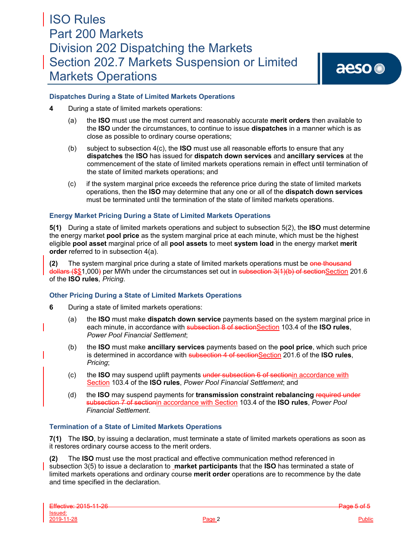aeso<sup>®</sup>

### **Dispatches During a State of Limited Markets Operations**

- **4** During a state of limited markets operations:
	- (a) the **ISO** must use the most current and reasonably accurate **merit orders** then available to the **ISO** under the circumstances, to continue to issue **dispatches** in a manner which is as close as possible to ordinary course operations;
	- (b) subject to subsection 4(c), the **ISO** must use all reasonable efforts to ensure that any **dispatches** the **ISO** has issued for **dispatch down services** and **ancillary services** at the commencement of the state of limited markets operations remain in effect until termination of the state of limited markets operations; and
	- (c) if the system marginal price exceeds the reference price during the state of limited markets operations, then the **ISO** may determine that any one or all of the **dispatch down services**  must be terminated until the termination of the state of limited markets operations.

### **Energy Market Pricing During a State of Limited Markets Operations**

**5(1)** During a state of limited markets operations and subject to subsection 5(2), the **ISO** must determine the energy market **pool price** as the system marginal price at each minute, which must be the highest eligible **pool asset** marginal price of all **pool assets** to meet **system load** in the energy market **merit order** referred to in subsection 4(a).

**(2)** The system marginal price during a state of limited markets operations must be one thousand dollars (\$\$1,000) per MWh under the circumstances set out in subsection 3(1)(b) of sectionSection 201.6 of the **ISO rules***, Pricing*.

### **Other Pricing During a State of Limited Markets Operations**

- **6** During a state of limited markets operations:
	- (a) the **ISO** must make **dispatch down service** payments based on the system marginal price in each minute, in accordance with subsection 8 of sectionSection 103.4 of the **ISO rules**, *Power Pool Financial Settlement*;
	- (b) the **ISO** must make **ancillary services** payments based on the **pool price**, which such price is determined in accordance with subsection 4 of sectionSection 201.6 of the **ISO rules**, *Pricing*;
	- (c) the **ISO** may suspend uplift payments under subsection 6 of sectionin accordance with Section 103.4 of the **ISO rules**, *Power Pool Financial Settlement*; and
	- (d) the **ISO** may suspend payments for **transmission constraint rebalancing** required under subsection 7 of sectionin accordance with Section 103.4 of the **ISO rules**, *Power Pool Financial Settlement*.

### **Termination of a State of Limited Markets Operations**

**7(1)** The **ISO**, by issuing a declaration, must terminate a state of limited markets operations as soon as it restores ordinary course access to the merit orders.

**(2)** The **ISO** must use the most practical and effective communication method referenced in subsection 3(5) to issue a declaration to **market participants** that the **ISO** has terminated a state of limited markets operations and ordinary course **merit order** operations are to recommence by the date and time specified in the declaration.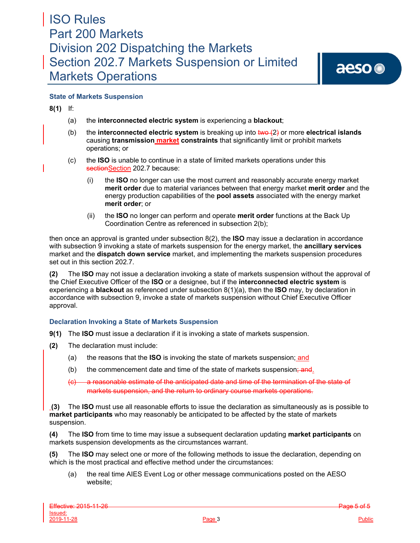

## **State of Markets Suspension**

**8(1)** If:

- (a) the **interconnected electric system** is experiencing a **blackout**;
- (b) the **interconnected electric system** is breaking up into two (2) or more **electrical islands**  causing **transmission market constraints** that significantly limit or prohibit markets operations; or
- (c) the **ISO** is unable to continue in a state of limited markets operations under this sectionSection 202.7 because:
	- (i) the **ISO** no longer can use the most current and reasonably accurate energy market **merit order** due to material variances between that energy market **merit order** and the energy production capabilities of the **pool assets** associated with the energy market **merit order**; or
	- (ii) the **ISO** no longer can perform and operate **merit order** functions at the Back Up Coordination Centre as referenced in subsection 2(b);

then once an approval is granted under subsection 8(2), the **ISO** may issue a declaration in accordance with subsection 9 invoking a state of markets suspension for the energy market, the **ancillary services** market and the **dispatch down service** market, and implementing the markets suspension procedures set out in this section 202.7.

**(2)** The **ISO** may not issue a declaration invoking a state of markets suspension without the approval of the Chief Executive Officer of the **ISO** or a designee, but if the **interconnected electric system** is experiencing a **blackout** as referenced under subsection 8(1)(a), then the **ISO** may, by declaration in accordance with subsection 9, invoke a state of markets suspension without Chief Executive Officer approval.

## **Declaration Invoking a State of Markets Suspension**

- **9(1)** The **ISO** must issue a declaration if it is invoking a state of markets suspension.
- **(2)** The declaration must include:
	- (a) the reasons that the **ISO** is invoking the state of markets suspension; and
	- (b) the commencement date and time of the state of markets suspension;  $\frac{1}{2}$
	- a reasonable estimate of the anticipated date and time of the termination of the state of markets suspension, and the return to ordinary course markets operations.

**(3)** The **ISO** must use all reasonable efforts to issue the declaration as simultaneously as is possible to **market participants** who may reasonably be anticipated to be affected by the state of markets suspension.

**(4)** The **ISO** from time to time may issue a subsequent declaration updating **market participants** on markets suspension developments as the circumstances warrant.

**(5)** The **ISO** may select one or more of the following methods to issue the declaration, depending on which is the most practical and effective method under the circumstances:

(a) the real time AIES Event Log or other message communications posted on the AESO website;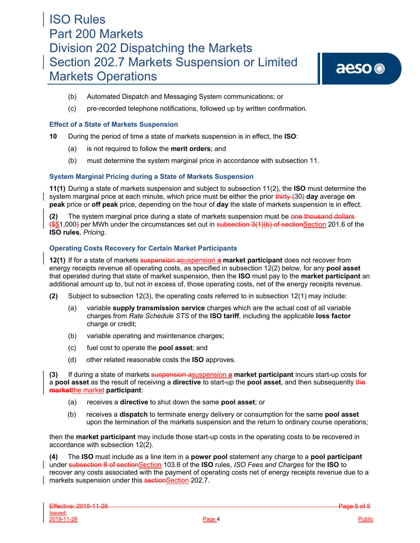- (b) Automated Dispatch and Messaging System communications; or
- (c) pre-recorded telephone notifications, followed up by written confirmation.

### **Effect of a State of Markets Suspension**

**10** During the period of time a state of markets suspension is in effect, the **ISO**:

- (a) is not required to follow the **merit orders**; and
- (b) must determine the system marginal price in accordance with subsection 11.

### **System Marginal Pricing during a State of Markets Suspension**

**11(1)** During a state of markets suspension and subject to subsection 11(2), the **ISO** must determine the system marginal price at each minute, which price must be either the prior thirty (30) **day** average **on peak** price or **off peak** price, depending on the hour of **day** the state of markets suspension is in effect.

**(2)** The system marginal price during a state of markets suspension must be one thousand dollars (\$\$1,000) per MWh under the circumstances set out in subsection 3(1)(b) of sectionSection 201.6 of the **ISO rules***, Pricing*.

### **Operating Costs Recovery for Certain Market Participants**

**12(1)** If for a state of markets suspension asuspension **a market participant** does not recover from energy receipts revenue all operating costs, as specified in subsection 12(2) below, for any **pool asset** that operated during that state of market suspension, then the **ISO** must pay to the **market participant** an additional amount up to, but not in excess of, those operating costs, net of the energy receipts revenue.

- **(2)** Subject to subsection 12(3), the operating costs referred to in subsection 12(1) may include:
	- (a) variable **supply transmission service** charges which are the actual cost of all variable charges from *Rate Schedule STS* of the **ISO tariff**, including the applicable **loss factor** charge or credit;
	- (b) variable operating and maintenance charges;
	- (c) fuel cost to operate the **pool asset**; and
	- (d) other related reasonable costs the **ISO** approves.

**(3)** If during a state of markets suspension asuspension **a market participant** incurs start-up costs for a **pool asset** as the result of receiving a **directive** to start-up the **pool asset**, and then subsequently the **market**the market **participant**:

- (a) receives a **directive** to shut down the same **pool asset**; or
- (b) receives a **dispatch** to terminate energy delivery or consumption for the same **pool asset**  upon the termination of the markets suspension and the return to ordinary course operations;

then the **market participant** may include those start-up costs in the operating costs to be recovered in accordance with subsection 12(2).

**(4)** The **ISO** must include as a line item in a **power pool** statement any charge to a **pool participant**  under subsection 8 of sectionSection 103.6 of the **ISO** rules, *ISO Fees and Charges* for the **ISO** to recover any costs associated with the payment of operating costs net of energy receipts revenue due to a markets suspension under this sectionSection 202.7.